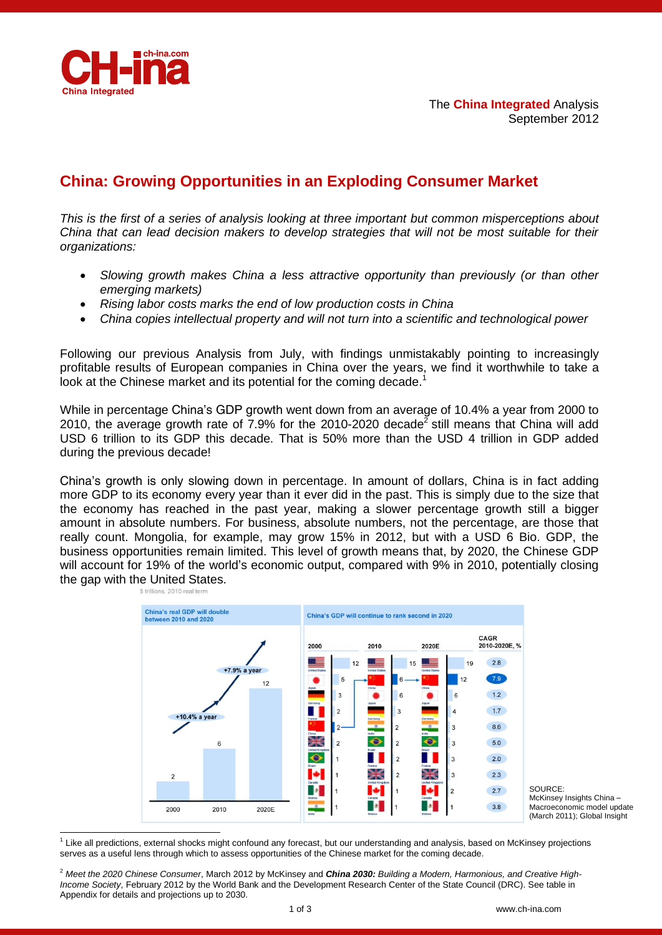

-

# **China: Growing Opportunities in an Exploding Consumer Market**

*This is the first of a series of analysis looking at three important but common misperceptions about China that can lead decision makers to develop strategies that will not be most suitable for their organizations:*

- *Slowing growth makes China a less attractive opportunity than previously (or than other emerging markets)*
- *Rising labor costs marks the end of low production costs in China*
- *China copies intellectual property and will not turn into a scientific and technological power*

Following our previous Analysis from July, with findings unmistakably pointing to increasingly profitable results of European companies in China over the years, we find it worthwhile to take a look at the Chinese market and its potential for the coming decade.<sup>1</sup>

While in percentage China's GDP growth went down from an average of 10.4% a year from 2000 to 2010, the average growth rate of 7.9% for the 2010-2020 decade<sup>2</sup> still means that China will add USD 6 trillion to its GDP this decade. That is 50% more than the USD 4 trillion in GDP added during the previous decade!

China's growth is only slowing down in percentage. In amount of dollars, China is in fact adding more GDP to its economy every year than it ever did in the past. This is simply due to the size that the economy has reached in the past year, making a slower percentage growth still a bigger amount in absolute numbers. For business, absolute numbers, not the percentage, are those that really count. Mongolia, for example, may grow 15% in 2012, but with a USD 6 Bio. GDP, the business opportunities remain limited. This level of growth means that, by 2020, the Chinese GDP will account for 19% of the world's economic output, compared with 9% in 2010, potentially closing the gap with the United States.



SOURCE: McKinsey Insights China – Macroeconomic model update (March 2011); Global Insight

<sup>1</sup> Like all predictions, external shocks might confound any forecast, but our understanding and analysis, based on McKinsey projections serves as a useful lens through which to assess opportunities of the Chinese market for the coming decade.

<sup>2</sup> *Meet the 2020 Chinese Consumer*, March 2012 by McKinsey and *China 2030: Building a Modern, Harmonious, and Creative High-Income Society*, February 2012 by the World Bank and the Development Research Center of the State Council (DRC). See table in Appendix for details and projections up to 2030.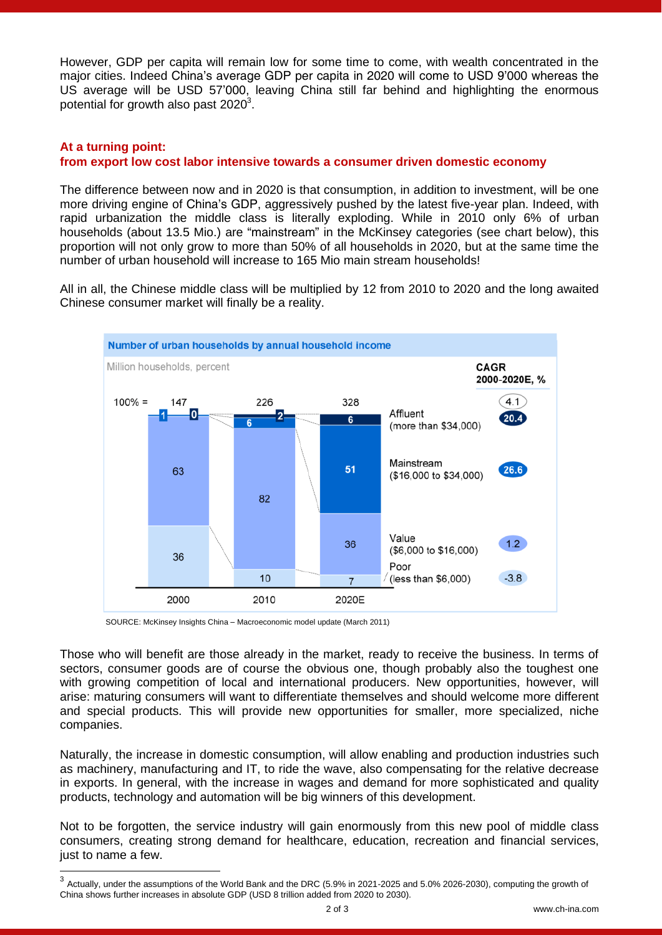However, GDP per capita will remain low for some time to come, with wealth concentrated in the major cities. Indeed China's average GDP per capita in 2020 will come to USD 9'000 whereas the US average will be USD 57'000, leaving China still far behind and highlighting the enormous potential for growth also past 2020 $^3$ .

#### **At a turning point: from export low cost labor intensive towards a consumer driven domestic economy**

The difference between now and in 2020 is that consumption, in addition to investment, will be one more driving engine of China's GDP, aggressively pushed by the latest five-year plan. Indeed, with rapid urbanization the middle class is literally exploding. While in 2010 only 6% of urban households (about 13.5 Mio.) are "mainstream" in the McKinsey categories (see chart below), this proportion will not only grow to more than 50% of all households in 2020, but at the same time the number of urban household will increase to 165 Mio main stream households!

All in all, the Chinese middle class will be multiplied by 12 from 2010 to 2020 and the long awaited Chinese consumer market will finally be a reality.



SOURCE: McKinsey Insights China – Macroeconomic model update (March 2011)

Those who will benefit are those already in the market, ready to receive the business. In terms of sectors, consumer goods are of course the obvious one, though probably also the toughest one with growing competition of local and international producers. New opportunities, however, will arise: maturing consumers will want to differentiate themselves and should welcome more different and special products. This will provide new opportunities for smaller, more specialized, niche companies.

Naturally, the increase in domestic consumption, will allow enabling and production industries such as machinery, manufacturing and IT, to ride the wave, also compensating for the relative decrease in exports. In general, with the increase in wages and demand for more sophisticated and quality products, technology and automation will be big winners of this development.

Not to be forgotten, the service industry will gain enormously from this new pool of middle class consumers, creating strong demand for healthcare, education, recreation and financial services, just to name a few.

 3 Actually, under the assumptions of the World Bank and the DRC (5.9% in 2021-2025 and 5.0% 2026-2030), computing the growth of China shows further increases in absolute GDP (USD 8 trillion added from 2020 to 2030).